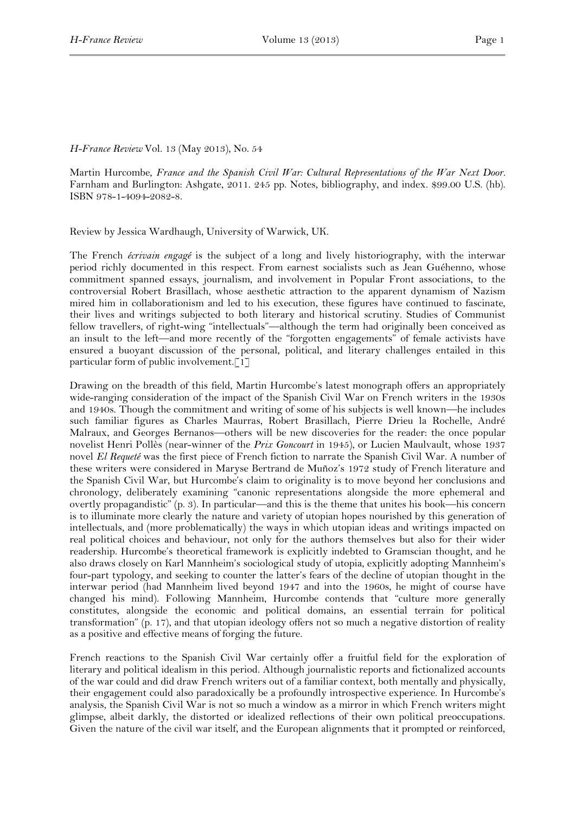## *H-France Review* Vol. 13 (May 2013), No. 54

Martin Hurcombe, *France and the Spanish Civil War: Cultural Representations of the War Next Door.*  Farnham and Burlington: Ashgate, 2011. 245 pp. Notes, bibliography, and index. \$99.00 U.S. (hb). ISBN 978-1-4094-2082-8.

Review by Jessica Wardhaugh, University of Warwick, UK.

The French *écrivain engagé* is the subject of a long and lively historiography, with the interwar period richly documented in this respect. From earnest socialists such as Jean Guéhenno, whose commitment spanned essays, journalism, and involvement in Popular Front associations, to the controversial Robert Brasillach, whose aesthetic attraction to the apparent dynamism of Nazism mired him in collaborationism and led to his execution, these figures have continued to fascinate, their lives and writings subjected to both literary and historical scrutiny. Studies of Communist fellow travellers, of right-wing "intellectuals"—although the term had originally been conceived as an insult to the left—and more recently of the "forgotten engagements" of female activists have ensured a buoyant discussion of the personal, political, and literary challenges entailed in this particular form of public involvement.[1]

Drawing on the breadth of this field, Martin Hurcombe's latest monograph offers an appropriately wide-ranging consideration of the impact of the Spanish Civil War on French writers in the 1930s and 1940s. Though the commitment and writing of some of his subjects is well known—he includes such familiar figures as Charles Maurras, Robert Brasillach, Pierre Drieu la Rochelle, André Malraux, and Georges Bernanos—others will be new discoveries for the reader: the once popular novelist Henri Pollès (near-winner of the *Prix Goncourt* in 1945), or Lucien Maulvault, whose 1937 novel *El Requeté* was the first piece of French fiction to narrate the Spanish Civil War. A number of these writers were considered in Maryse Bertrand de Muñoz's 1972 study of French literature and the Spanish Civil War, but Hurcombe's claim to originality is to move beyond her conclusions and chronology, deliberately examining "canonic representations alongside the more ephemeral and overtly propagandistic" (p. 3). In particular—and this is the theme that unites his book—his concern is to illuminate more clearly the nature and variety of utopian hopes nourished by this generation of intellectuals, and (more problematically) the ways in which utopian ideas and writings impacted on real political choices and behaviour, not only for the authors themselves but also for their wider readership. Hurcombe's theoretical framework is explicitly indebted to Gramscian thought, and he also draws closely on Karl Mannheim's sociological study of utopia, explicitly adopting Mannheim's four-part typology, and seeking to counter the latter's fears of the decline of utopian thought in the interwar period (had Mannheim lived beyond 1947 and into the 1960s, he might of course have changed his mind). Following Mannheim, Hurcombe contends that "culture more generally constitutes, alongside the economic and political domains, an essential terrain for political transformation" (p. 17), and that utopian ideology offers not so much a negative distortion of reality as a positive and effective means of forging the future.

French reactions to the Spanish Civil War certainly offer a fruitful field for the exploration of literary and political idealism in this period. Although journalistic reports and fictionalized accounts of the war could and did draw French writers out of a familiar context, both mentally and physically, their engagement could also paradoxically be a profoundly introspective experience. In Hurcombe's analysis, the Spanish Civil War is not so much a window as a mirror in which French writers might glimpse, albeit darkly, the distorted or idealized reflections of their own political preoccupations. Given the nature of the civil war itself, and the European alignments that it prompted or reinforced,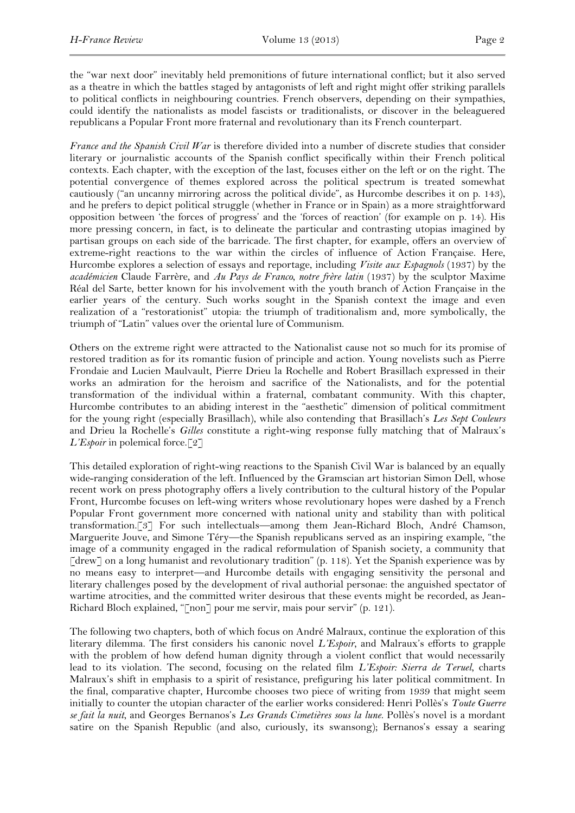the "war next door" inevitably held premonitions of future international conflict; but it also served as a theatre in which the battles staged by antagonists of left and right might offer striking parallels to political conflicts in neighbouring countries. French observers, depending on their sympathies, could identify the nationalists as model fascists or traditionalists, or discover in the beleaguered republicans a Popular Front more fraternal and revolutionary than its French counterpart.

*France and the Spanish Civil War* is therefore divided into a number of discrete studies that consider literary or journalistic accounts of the Spanish conflict specifically within their French political contexts. Each chapter, with the exception of the last, focuses either on the left or on the right. The potential convergence of themes explored across the political spectrum is treated somewhat cautiously ("an uncanny mirroring across the political divide", as Hurcombe describes it on p. 143), and he prefers to depict political struggle (whether in France or in Spain) as a more straightforward opposition between 'the forces of progress' and the 'forces of reaction' (for example on p. 14). His more pressing concern, in fact, is to delineate the particular and contrasting utopias imagined by partisan groups on each side of the barricade. The first chapter, for example, offers an overview of extreme-right reactions to the war within the circles of influence of Action Française. Here, Hurcombe explores a selection of essays and reportage, including *Visite aux Espagnols* (1937) by the *académicien* Claude Farrère, and *Au Pays de Franco, notre frère latin* (1937) by the sculptor Maxime Réal del Sarte, better known for his involvement with the youth branch of Action Française in the earlier years of the century. Such works sought in the Spanish context the image and even realization of a "restorationist" utopia: the triumph of traditionalism and, more symbolically, the triumph of "Latin" values over the oriental lure of Communism.

Others on the extreme right were attracted to the Nationalist cause not so much for its promise of restored tradition as for its romantic fusion of principle and action. Young novelists such as Pierre Frondaie and Lucien Maulvault, Pierre Drieu la Rochelle and Robert Brasillach expressed in their works an admiration for the heroism and sacrifice of the Nationalists, and for the potential transformation of the individual within a fraternal, combatant community. With this chapter, Hurcombe contributes to an abiding interest in the "aesthetic" dimension of political commitment for the young right (especially Brasillach), while also contending that Brasillach's *Les Sept Couleurs* and Drieu la Rochelle's *Gilles* constitute a right-wing response fully matching that of Malraux's *L'Espoir* in polemical force.<sup>[2]</sup>

This detailed exploration of right-wing reactions to the Spanish Civil War is balanced by an equally wide-ranging consideration of the left. Influenced by the Gramscian art historian Simon Dell, whose recent work on press photography offers a lively contribution to the cultural history of the Popular Front, Hurcombe focuses on left-wing writers whose revolutionary hopes were dashed by a French Popular Front government more concerned with national unity and stability than with political transformation.[3] For such intellectuals—among them Jean-Richard Bloch, André Chamson, Marguerite Jouve, and Simone Téry—the Spanish republicans served as an inspiring example, "the image of a community engaged in the radical reformulation of Spanish society, a community that [drew] on a long humanist and revolutionary tradition" (p. 118). Yet the Spanish experience was by no means easy to interpret—and Hurcombe details with engaging sensitivity the personal and literary challenges posed by the development of rival authorial personae: the anguished spectator of wartime atrocities, and the committed writer desirous that these events might be recorded, as Jean-Richard Bloch explained, "[non] pour me servir, mais pour servir" (p. 121).

The following two chapters, both of which focus on André Malraux, continue the exploration of this literary dilemma. The first considers his canonic novel *L'Espoir*, and Malraux's efforts to grapple with the problem of how defend human dignity through a violent conflict that would necessarily lead to its violation. The second, focusing on the related film *L'Espoir: Sierra de Teruel*, charts Malraux's shift in emphasis to a spirit of resistance, prefiguring his later political commitment. In the final, comparative chapter, Hurcombe chooses two piece of writing from 1939 that might seem initially to counter the utopian character of the earlier works considered: Henri Pollès's *Toute Guerre se fait la nuit*, and Georges Bernanos's *Les Grands Cimetières sous la lune*. Pollès's novel is a mordant satire on the Spanish Republic (and also, curiously, its swansong); Bernanos's essay a searing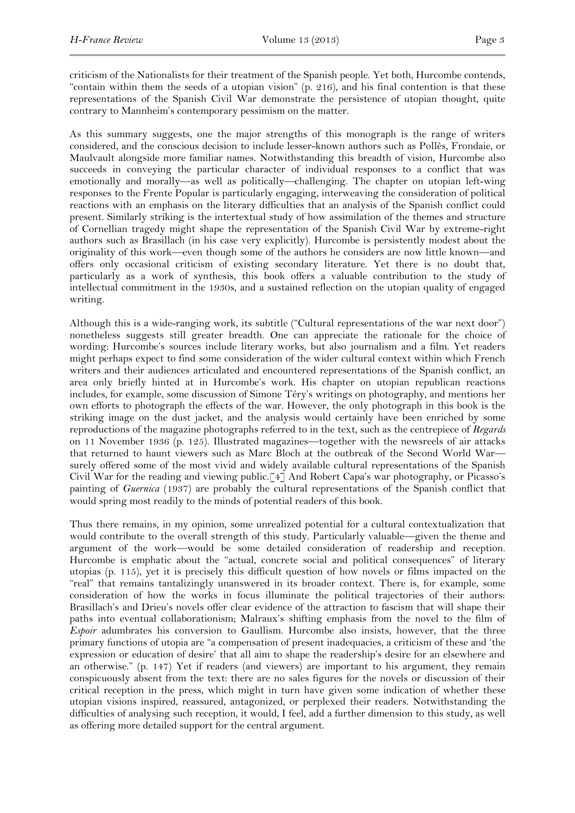criticism of the Nationalists for their treatment of the Spanish people. Yet both, Hurcombe contends, "contain within them the seeds of a utopian vision" (p. 216), and his final contention is that these representations of the Spanish Civil War demonstrate the persistence of utopian thought, quite contrary to Mannheim's contemporary pessimism on the matter.

As this summary suggests, one the major strengths of this monograph is the range of writers considered, and the conscious decision to include lesser-known authors such as Pollès, Frondaie, or Maulvault alongside more familiar names. Notwithstanding this breadth of vision, Hurcombe also succeeds in conveying the particular character of individual responses to a conflict that was emotionally and morally—as well as politically—challenging. The chapter on utopian left-wing responses to the Frente Popular is particularly engaging, interweaving the consideration of political reactions with an emphasis on the literary difficulties that an analysis of the Spanish conflict could present. Similarly striking is the intertextual study of how assimilation of the themes and structure of Cornellian tragedy might shape the representation of the Spanish Civil War by extreme-right authors such as Brasillach (in his case very explicitly). Hurcombe is persistently modest about the originality of this work—even though some of the authors he considers are now little known—and offers only occasional criticism of existing secondary literature. Yet there is no doubt that, particularly as a work of synthesis, this book offers a valuable contribution to the study of intellectual commitment in the 1930s, and a sustained reflection on the utopian quality of engaged writing.

Although this is a wide-ranging work, its subtitle ("Cultural representations of the war next door") nonetheless suggests still greater breadth. One can appreciate the rationale for the choice of wording: Hurcombe's sources include literary works, but also journalism and a film. Yet readers might perhaps expect to find some consideration of the wider cultural context within which French writers and their audiences articulated and encountered representations of the Spanish conflict, an area only briefly hinted at in Hurcombe's work. His chapter on utopian republican reactions includes, for example, some discussion of Simone Téry's writings on photography, and mentions her own efforts to photograph the effects of the war. However, the only photograph in this book is the striking image on the dust jacket, and the analysis would certainly have been enriched by some reproductions of the magazine photographs referred to in the text, such as the centrepiece of *Regards* on 11 November 1936 (p. 125). Illustrated magazines—together with the newsreels of air attacks that returned to haunt viewers such as Marc Bloch at the outbreak of the Second World War surely offered some of the most vivid and widely available cultural representations of the Spanish Civil War for the reading and viewing public.[4] And Robert Capa's war photography, or Picasso's painting of *Guernica* (1937) are probably the cultural representations of the Spanish conflict that would spring most readily to the minds of potential readers of this book.

Thus there remains, in my opinion, some unrealized potential for a cultural contextualization that would contribute to the overall strength of this study. Particularly valuable—given the theme and argument of the work—would be some detailed consideration of readership and reception. Hurcombe is emphatic about the "actual, concrete social and political consequences" of literary utopias (p. 115), yet it is precisely this difficult question of how novels or films impacted on the "real" that remains tantalizingly unanswered in its broader context. There is, for example, some consideration of how the works in focus illuminate the political trajectories of their authors: Brasillach's and Drieu's novels offer clear evidence of the attraction to fascism that will shape their paths into eventual collaborationism; Malraux's shifting emphasis from the novel to the film of *Espoir* adumbrates his conversion to Gaullism. Hurcombe also insists, however, that the three primary functions of utopia are "a compensation of present inadequacies, a criticism of these and 'the expression or education of desire' that all aim to shape the readership's desire for an elsewhere and an otherwise." (p. 147) Yet if readers (and viewers) are important to his argument, they remain conspicuously absent from the text: there are no sales figures for the novels or discussion of their critical reception in the press, which might in turn have given some indication of whether these utopian visions inspired, reassured, antagonized, or perplexed their readers. Notwithstanding the difficulties of analysing such reception, it would, I feel, add a further dimension to this study, as well as offering more detailed support for the central argument.